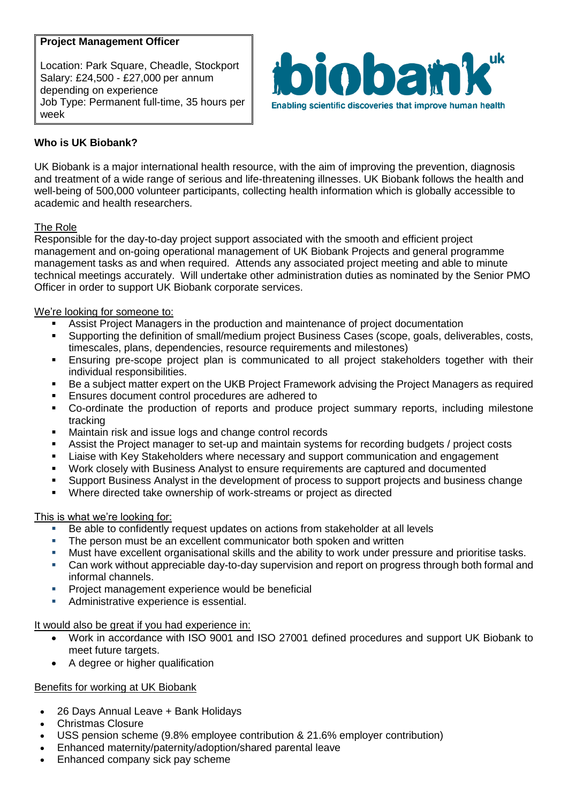# **Project Management Officer**

Location: Park Square, Cheadle, Stockport Salary: £24,500 - £27,000 per annum depending on experience Job Type: Permanent full-time, 35 hours per week



# **Who is UK Biobank?**

UK Biobank is a major international health resource, with the aim of improving the prevention, diagnosis and treatment of a wide range of serious and life-threatening illnesses. UK Biobank follows the health and well-being of 500,000 volunteer participants, collecting health information which is globally accessible to academic and health researchers.

# The Role

Responsible for the day-to-day project support associated with the smooth and efficient project management and on-going operational management of UK Biobank Projects and general programme management tasks as and when required. Attends any associated project meeting and able to minute technical meetings accurately. Will undertake other administration duties as nominated by the Senior PMO Officer in order to support UK Biobank corporate services.

### We're looking for someone to:

- Assist Project Managers in the production and maintenance of project documentation
- Supporting the definition of small/medium project Business Cases (scope, goals, deliverables, costs, timescales, plans, dependencies, resource requirements and milestones)
- Ensuring pre-scope project plan is communicated to all project stakeholders together with their individual responsibilities.
- Be a subject matter expert on the UKB Project Framework advising the Project Managers as required
- Ensures document control procedures are adhered to
- Co-ordinate the production of reports and produce project summary reports, including milestone tracking
- **Maintain risk and issue logs and change control records**
- Assist the Project manager to set-up and maintain systems for recording budgets / project costs
- **EXTE:** Liaise with Key Stakeholders where necessary and support communication and engagement
- Work closely with Business Analyst to ensure requirements are captured and documented
- Support Business Analyst in the development of process to support projects and business change
- Where directed take ownership of work-streams or project as directed

#### This is what we're looking for:

- Be able to confidently request updates on actions from stakeholder at all levels
- **The person must be an excellent communicator both spoken and written**
- Must have excellent organisational skills and the ability to work under pressure and prioritise tasks.
- Can work without appreciable day-to-day supervision and report on progress through both formal and informal channels.
- Project management experience would be beneficial
- **Administrative experience is essential.**

#### It would also be great if you had experience in:

- Work in accordance with ISO 9001 and ISO 27001 defined procedures and support UK Biobank to meet future targets.
- A degree or higher qualification

# Benefits for working at UK Biobank

- 26 Days Annual Leave + Bank Holidays
- Christmas Closure
- USS pension scheme (9.8% employee contribution & 21.6% employer contribution)
- Enhanced maternity/paternity/adoption/shared parental leave
- Enhanced company sick pay scheme